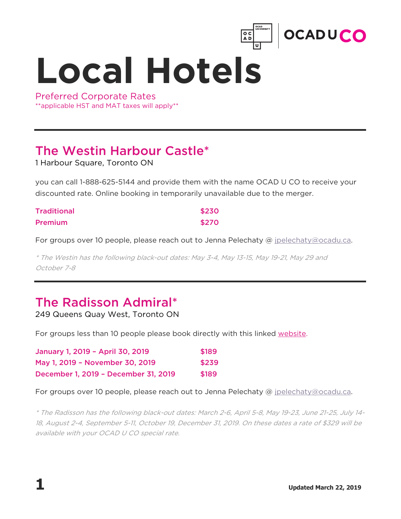

**Local Hotels**

Preferred Corporate Rates \*\*applicable HST and MAT taxes will apply\*\*

## The Westin Harbour Castle\*

1 Harbour Square, Toronto ON

you can call 1-888-625-5144 and provide them with the name OCAD U CO to receive your discounted rate. Online booking in temporarily unavailable due to the merger.

| <b>Traditional</b> | \$230 |
|--------------------|-------|
| <b>Premium</b>     | \$270 |

For groups over 10 people, please reach out to Jenna Pelechaty @ jpelechaty@ocadu.ca.

\* The Westin has the following black-out dates: May 3-4, May 13-15, May 19-21, May 29 and October 7-8

## The Radisson Admiral\*

249 Queens Quay West, Toronto ON

For groups less than 10 people please book directly with this linked website.

| January 1, 2019 - April 30, 2019     | \$189 |
|--------------------------------------|-------|
| May 1, 2019 - November 30, 2019      | \$239 |
| December 1, 2019 - December 31, 2019 | \$189 |

For groups over 10 people, please reach out to Jenna Pelechaty @ jpelechaty@ocadu.ca.

\* The Radisson has the following black-out dates: March 2-6, April 5-8, May 19-23, June 21-25, July 14- 18, August 2-4, September 5-11, October 19, December 31, 2019. On these dates a rate of \$329 will be available with your OCAD U CO special rate.